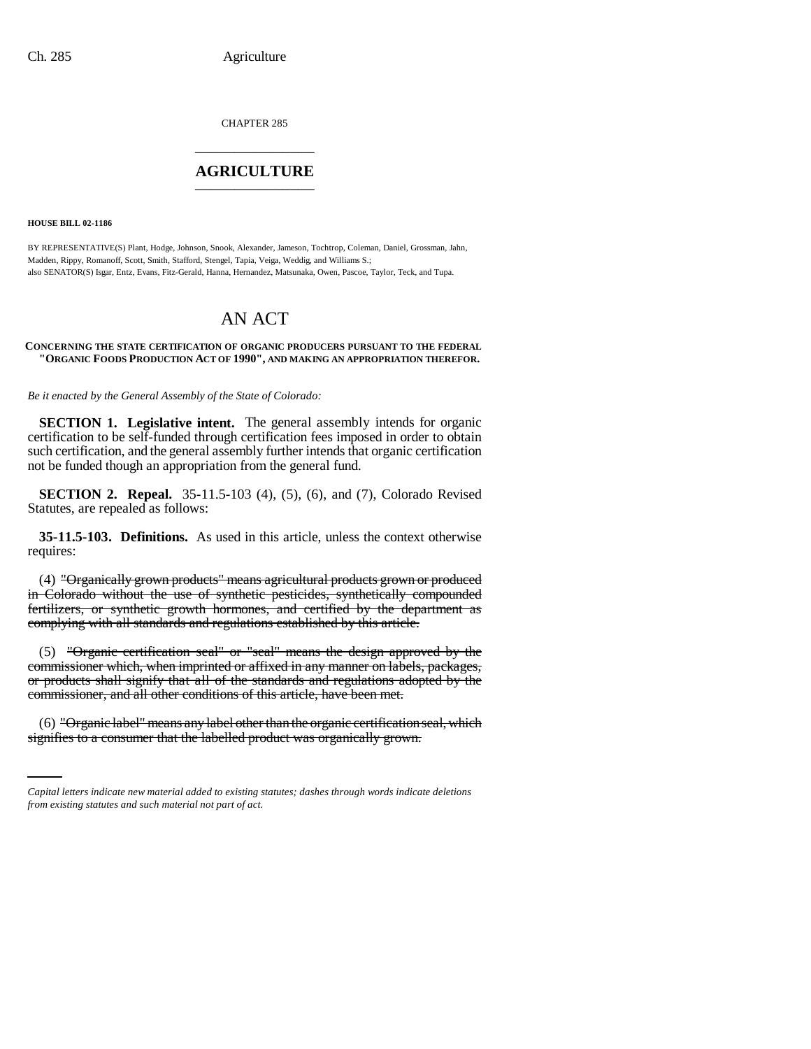CHAPTER 285 \_\_\_\_\_\_\_\_\_\_\_\_\_\_\_

# **AGRICULTURE** \_\_\_\_\_\_\_\_\_\_\_\_\_\_\_

**HOUSE BILL 02-1186**

BY REPRESENTATIVE(S) Plant, Hodge, Johnson, Snook, Alexander, Jameson, Tochtrop, Coleman, Daniel, Grossman, Jahn, Madden, Rippy, Romanoff, Scott, Smith, Stafford, Stengel, Tapia, Veiga, Weddig, and Williams S.; also SENATOR(S) Isgar, Entz, Evans, Fitz-Gerald, Hanna, Hernandez, Matsunaka, Owen, Pascoe, Taylor, Teck, and Tupa.

# AN ACT

#### **CONCERNING THE STATE CERTIFICATION OF ORGANIC PRODUCERS PURSUANT TO THE FEDERAL "ORGANIC FOODS PRODUCTION ACT OF 1990", AND MAKING AN APPROPRIATION THEREFOR.**

*Be it enacted by the General Assembly of the State of Colorado:*

**SECTION 1. Legislative intent.** The general assembly intends for organic certification to be self-funded through certification fees imposed in order to obtain such certification, and the general assembly further intends that organic certification not be funded though an appropriation from the general fund.

**SECTION 2. Repeal.** 35-11.5-103 (4), (5), (6), and (7), Colorado Revised Statutes, are repealed as follows:

**35-11.5-103. Definitions.** As used in this article, unless the context otherwise requires:

(4) "Organically grown products" means agricultural products grown or produced in Colorado without the use of synthetic pesticides, synthetically compounded fertilizers, or synthetic growth hormones, and certified by the department as complying with all standards and regulations established by this article.

(5) "Organic certification seal" or "seal" means the design approved by the commissioner which, when imprinted or affixed in any manner on labels, packages, or products shall signify that all of the standards and regulations adopted by the commissioner, and all other conditions of this article, have been met.

(6) "Organic label" means any label other than the organic certification seal, which signifies to a consumer that the labelled product was organically grown.

*Capital letters indicate new material added to existing statutes; dashes through words indicate deletions from existing statutes and such material not part of act.*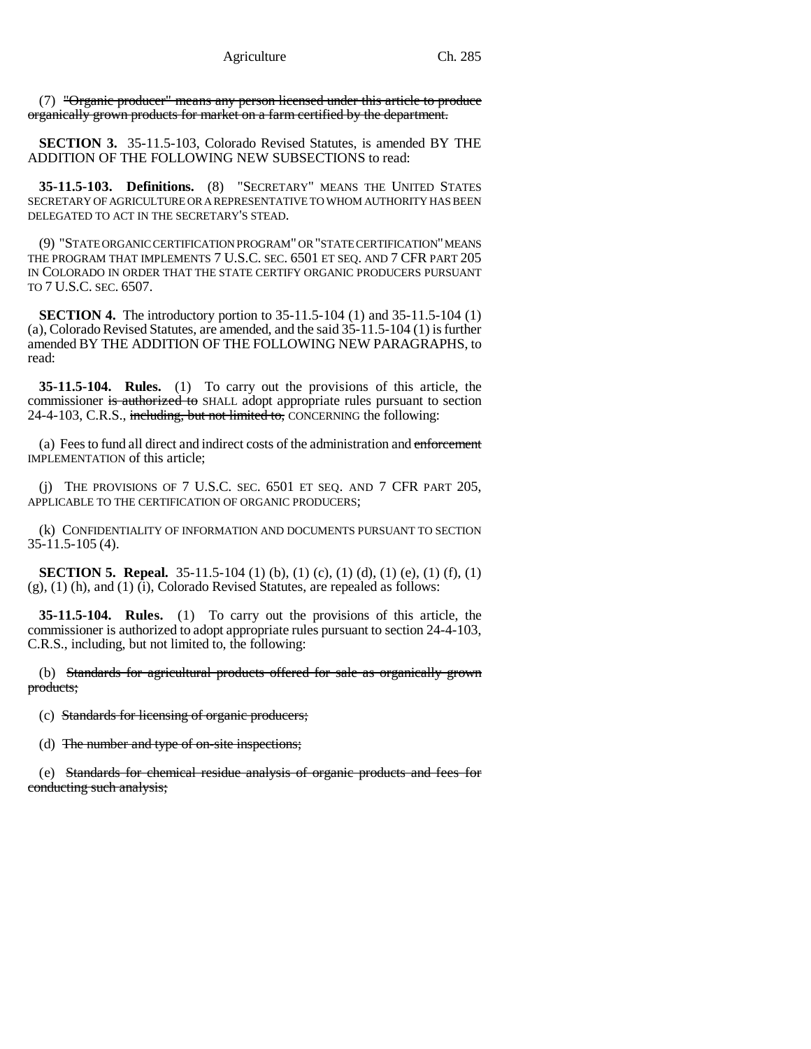(7) "Organic producer" means any person licensed under this article to produce organically grown products for market on a farm certified by the department.

**SECTION 3.** 35-11.5-103, Colorado Revised Statutes, is amended BY THE ADDITION OF THE FOLLOWING NEW SUBSECTIONS to read:

**35-11.5-103. Definitions.** (8) "SECRETARY" MEANS THE UNITED STATES SECRETARY OF AGRICULTURE OR A REPRESENTATIVE TO WHOM AUTHORITY HAS BEEN DELEGATED TO ACT IN THE SECRETARY'S STEAD.

(9) "STATE ORGANIC CERTIFICATION PROGRAM" OR "STATE CERTIFICATION" MEANS THE PROGRAM THAT IMPLEMENTS 7 U.S.C. SEC. 6501 ET SEQ. AND 7 CFR PART 205 IN COLORADO IN ORDER THAT THE STATE CERTIFY ORGANIC PRODUCERS PURSUANT TO 7 U.S.C. SEC. 6507.

**SECTION 4.** The introductory portion to 35-11.5-104 (1) and 35-11.5-104 (1) (a), Colorado Revised Statutes, are amended, and the said 35-11.5-104 (1) is further amended BY THE ADDITION OF THE FOLLOWING NEW PARAGRAPHS, to read:

**35-11.5-104. Rules.** (1) To carry out the provisions of this article, the commissioner is authorized to SHALL adopt appropriate rules pursuant to section 24-4-103, C.R.S., including, but not limited to, CONCERNING the following:

(a) Fees to fund all direct and indirect costs of the administration and enforcement IMPLEMENTATION of this article;

(j) THE PROVISIONS OF 7 U.S.C. SEC. 6501 ET SEQ. AND 7 CFR PART 205, APPLICABLE TO THE CERTIFICATION OF ORGANIC PRODUCERS;

(k) CONFIDENTIALITY OF INFORMATION AND DOCUMENTS PURSUANT TO SECTION  $35-11.5-105(4)$ .

**SECTION 5. Repeal.** 35-11.5-104 (1) (b), (1) (c), (1) (d), (1) (e), (1) (f), (1) (g), (1) (h), and (1) (i), Colorado Revised Statutes, are repealed as follows:

**35-11.5-104. Rules.** (1) To carry out the provisions of this article, the commissioner is authorized to adopt appropriate rules pursuant to section 24-4-103, C.R.S., including, but not limited to, the following:

(b) Standards for agricultural products offered for sale as organically grown products;

(c) Standards for licensing of organic producers;

(d) The number and type of on-site inspections;

(e) Standards for chemical residue analysis of organic products and fees for conducting such analysis;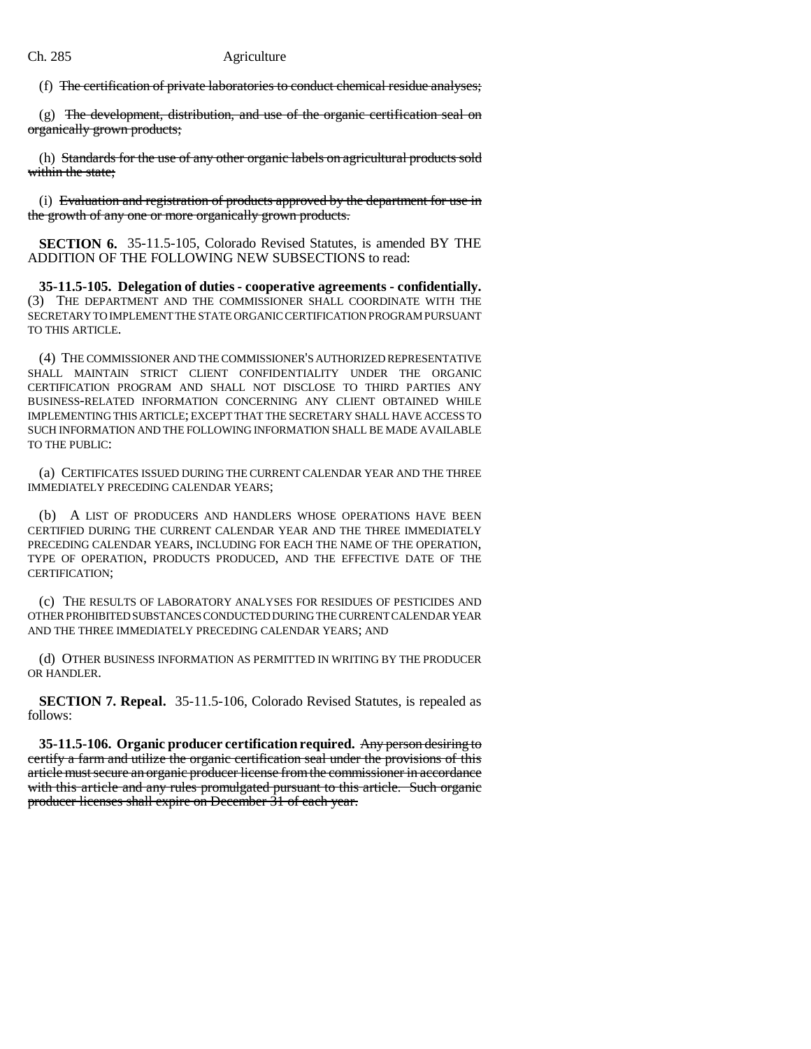(f) The certification of private laboratories to conduct chemical residue analyses;

(g) The development, distribution, and use of the organic certification seal on organically grown products;

(h) Standards for the use of any other organic labels on agricultural products sold within the state:

(i) Evaluation and registration of products approved by the department for use in the growth of any one or more organically grown products.

**SECTION 6.** 35-11.5-105, Colorado Revised Statutes, is amended BY THE ADDITION OF THE FOLLOWING NEW SUBSECTIONS to read:

**35-11.5-105. Delegation of duties - cooperative agreements - confidentially.** (3) THE DEPARTMENT AND THE COMMISSIONER SHALL COORDINATE WITH THE SECRETARY TO IMPLEMENT THE STATE ORGANIC CERTIFICATION PROGRAM PURSUANT TO THIS ARTICLE.

(4) THE COMMISSIONER AND THE COMMISSIONER'S AUTHORIZED REPRESENTATIVE SHALL MAINTAIN STRICT CLIENT CONFIDENTIALITY UNDER THE ORGANIC CERTIFICATION PROGRAM AND SHALL NOT DISCLOSE TO THIRD PARTIES ANY BUSINESS-RELATED INFORMATION CONCERNING ANY CLIENT OBTAINED WHILE IMPLEMENTING THIS ARTICLE; EXCEPT THAT THE SECRETARY SHALL HAVE ACCESS TO SUCH INFORMATION AND THE FOLLOWING INFORMATION SHALL BE MADE AVAILABLE TO THE PUBLIC:

(a) CERTIFICATES ISSUED DURING THE CURRENT CALENDAR YEAR AND THE THREE IMMEDIATELY PRECEDING CALENDAR YEARS;

(b) A LIST OF PRODUCERS AND HANDLERS WHOSE OPERATIONS HAVE BEEN CERTIFIED DURING THE CURRENT CALENDAR YEAR AND THE THREE IMMEDIATELY PRECEDING CALENDAR YEARS, INCLUDING FOR EACH THE NAME OF THE OPERATION, TYPE OF OPERATION, PRODUCTS PRODUCED, AND THE EFFECTIVE DATE OF THE CERTIFICATION;

(c) THE RESULTS OF LABORATORY ANALYSES FOR RESIDUES OF PESTICIDES AND OTHER PROHIBITED SUBSTANCES CONDUCTED DURING THE CURRENT CALENDAR YEAR AND THE THREE IMMEDIATELY PRECEDING CALENDAR YEARS; AND

(d) OTHER BUSINESS INFORMATION AS PERMITTED IN WRITING BY THE PRODUCER OR HANDLER.

**SECTION 7. Repeal.** 35-11.5-106, Colorado Revised Statutes, is repealed as follows:

**35-11.5-106. Organic producer certification required.** Any person desiring to certify a farm and utilize the organic certification seal under the provisions of this article must secure an organic producer license from the commissioner in accordance with this article and any rules promulgated pursuant to this article. Such organic producer licenses shall expire on December 31 of each year.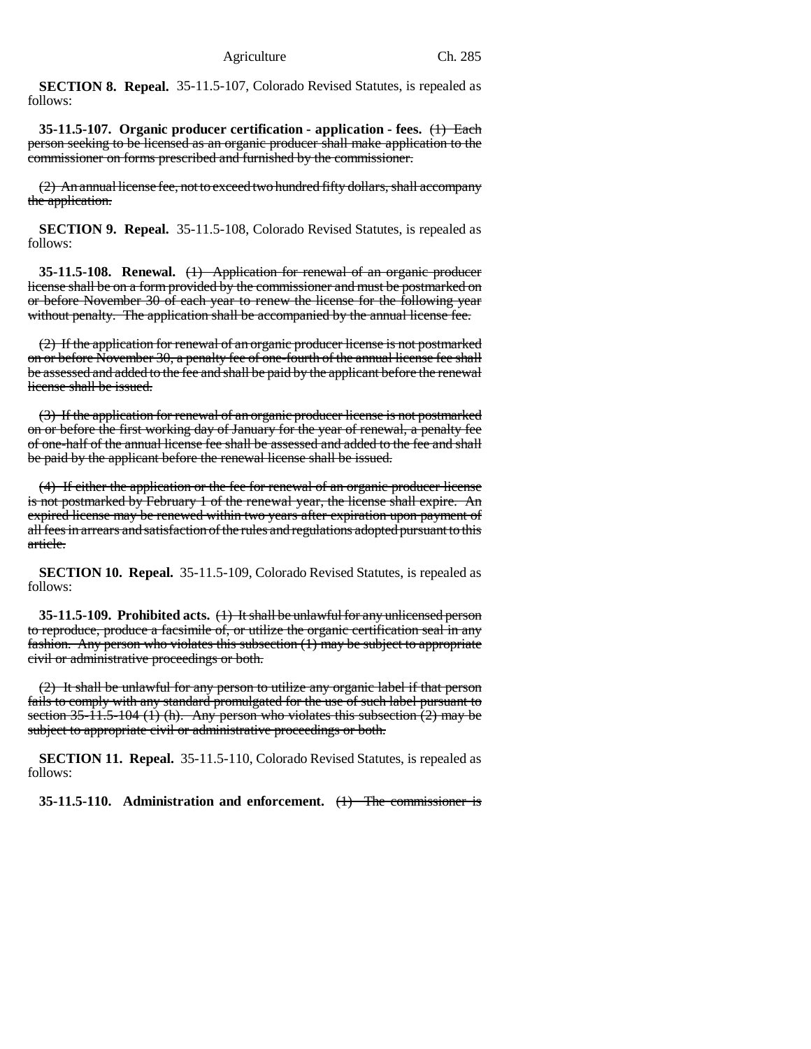**SECTION 8. Repeal.** 35-11.5-107, Colorado Revised Statutes, is repealed as follows:

**35-11.5-107. Organic producer certification - application - fees.** (1) Each person seeking to be licensed as an organic producer shall make application to the commissioner on forms prescribed and furnished by the commissioner.

(2) An annual license fee, not to exceed two hundred fifty dollars, shall accompany the application.

**SECTION 9. Repeal.** 35-11.5-108, Colorado Revised Statutes, is repealed as follows:

**35-11.5-108. Renewal.** (1) Application for renewal of an organic producer license shall be on a form provided by the commissioner and must be postmarked on or before November 30 of each year to renew the license for the following year without penalty. The application shall be accompanied by the annual license fee.

(2) If the application for renewal of an organic producer license is not postmarked on or before November 30, a penalty fee of one-fourth of the annual license fee shall be assessed and added to the fee and shall be paid by the applicant before the renewal license shall be issued.

(3) If the application for renewal of an organic producer license is not postmarked on or before the first working day of January for the year of renewal, a penalty fee of one-half of the annual license fee shall be assessed and added to the fee and shall be paid by the applicant before the renewal license shall be issued.

(4) If either the application or the fee for renewal of an organic producer license is not postmarked by February 1 of the renewal year, the license shall expire. An expired license may be renewed within two years after expiration upon payment of all fees in arrears and satisfaction of the rules and regulations adopted pursuant to this article.

**SECTION 10. Repeal.** 35-11.5-109, Colorado Revised Statutes, is repealed as follows:

**35-11.5-109. Prohibited acts.** (1) It shall be unlawful for any unlicensed person to reproduce, produce a facsimile of, or utilize the organic certification seal in any fashion. Any person who violates this subsection (1) may be subject to appropriate civil or administrative proceedings or both.

(2) It shall be unlawful for any person to utilize any organic label if that person fails to comply with any standard promulgated for the use of such label pursuant to section  $35-11.5-104$  (1) (h). Any person who violates this subsection (2) may be subject to appropriate civil or administrative proceedings or both.

**SECTION 11. Repeal.** 35-11.5-110, Colorado Revised Statutes, is repealed as follows:

**35-11.5-110. Administration and enforcement.** (1) The commissioner is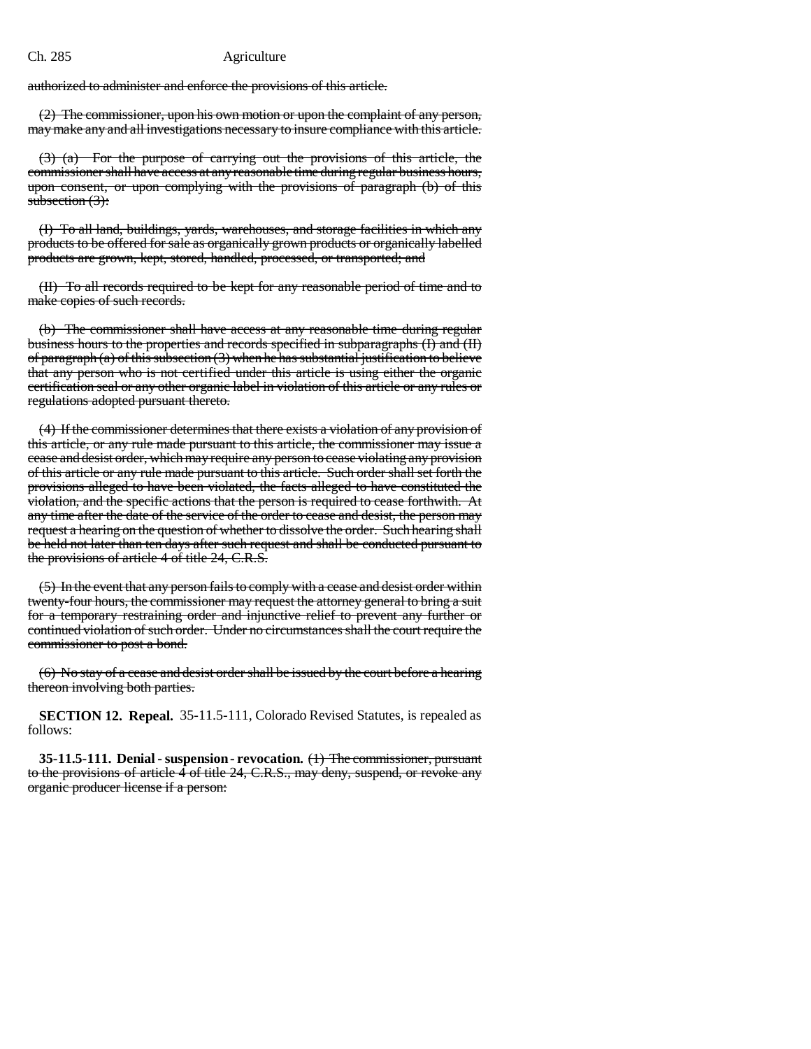### Ch. 285 Agriculture

authorized to administer and enforce the provisions of this article.

(2) The commissioner, upon his own motion or upon the complaint of any person, may make any and all investigations necessary to insure compliance with this article.

(3) (a) For the purpose of carrying out the provisions of this article, the commissioner shall have access at any reasonable time during regular business hours, upon consent, or upon complying with the provisions of paragraph (b) of this subsection  $(3)$ :

(I) To all land, buildings, yards, warehouses, and storage facilities in which any products to be offered for sale as organically grown products or organically labelled products are grown, kept, stored, handled, processed, or transported; and

(II) To all records required to be kept for any reasonable period of time and to make copies of such records.

(b) The commissioner shall have access at any reasonable time during regular business hours to the properties and records specified in subparagraphs (I) and (II) of paragraph  $(a)$  of this subsection  $(3)$  when he has substantial justification to believe that any person who is not certified under this article is using either the organic certification seal or any other organic label in violation of this article or any rules or regulations adopted pursuant thereto.

(4) If the commissioner determines that there exists a violation of any provision of this article, or any rule made pursuant to this article, the commissioner may issue a cease and desist order, which may require any person to cease violating any provision of this article or any rule made pursuant to this article. Such order shall set forth the provisions alleged to have been violated, the facts alleged to have constituted the violation, and the specific actions that the person is required to cease forthwith. At any time after the date of the service of the order to cease and desist, the person may request a hearing on the question of whether to dissolve the order. Such hearing shall be held not later than ten days after such request and shall be conducted pursuant to the provisions of article 4 of title 24, C.R.S.

(5) In the event that any person fails to comply with a cease and desist order within twenty-four hours, the commissioner may request the attorney general to bring a suit for a temporary restraining order and injunctive relief to prevent any further or continued violation of such order. Under no circumstances shall the court require the commissioner to post a bond.

(6) No stay of a cease and desist order shall be issued by the court before a hearing thereon involving both parties.

**SECTION 12. Repeal.** 35-11.5-111, Colorado Revised Statutes, is repealed as follows:

**35-11.5-111. Denial - suspension - revocation.** (1) The commissioner, pursuant to the provisions of article 4 of title 24, C.R.S., may deny, suspend, or revoke any organic producer license if a person: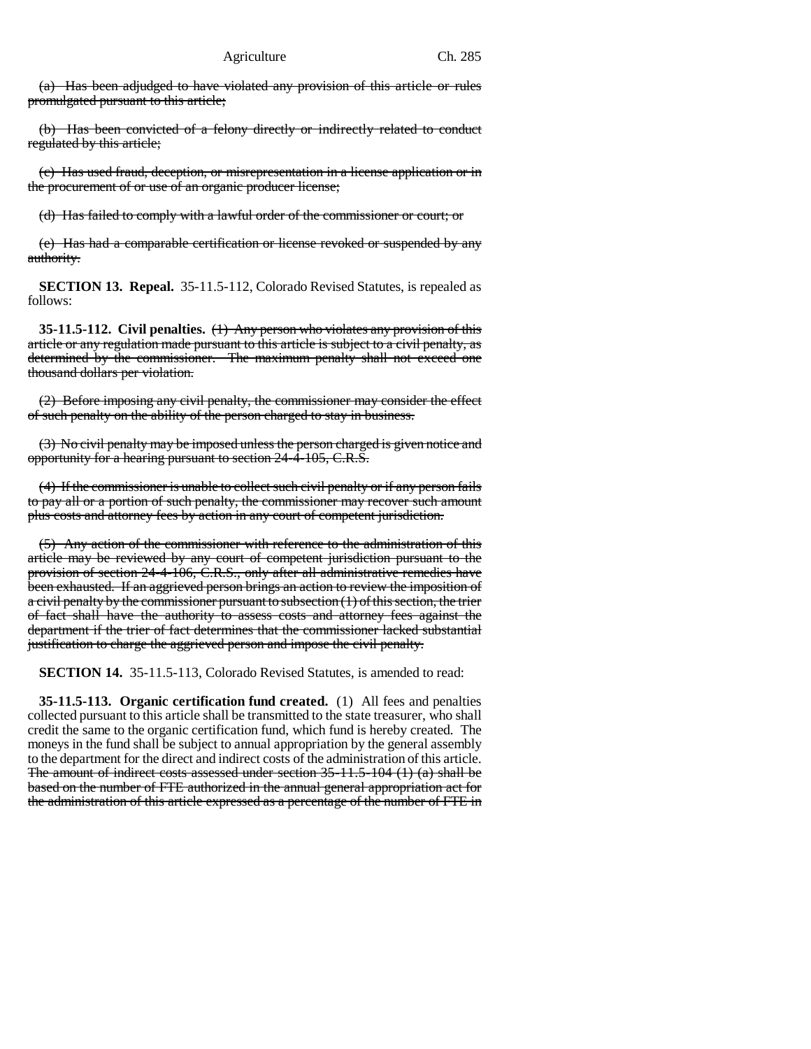(a) Has been adjudged to have violated any provision of this article or rules promulgated pursuant to this article;

(b) Has been convicted of a felony directly or indirectly related to conduct regulated by this article;

(c) Has used fraud, deception, or misrepresentation in a license application or in the procurement of or use of an organic producer license;

(d) Has failed to comply with a lawful order of the commissioner or court; or

(e) Has had a comparable certification or license revoked or suspended by any authority.

**SECTION 13. Repeal.** 35-11.5-112, Colorado Revised Statutes, is repealed as follows:

**35-11.5-112. Civil penalties.** (1) Any person who violates any provision of this article or any regulation made pursuant to this article is subject to a civil penalty, as determined by the commissioner. The maximum penalty shall not exceed one thousand dollars per violation.

(2) Before imposing any civil penalty, the commissioner may consider the effect of such penalty on the ability of the person charged to stay in business.

(3) No civil penalty may be imposed unless the person charged is given notice and opportunity for a hearing pursuant to section 24-4-105, C.R.S.

(4) If the commissioner is unable to collect such civil penalty or if any person fails to pay all or a portion of such penalty, the commissioner may recover such amount plus costs and attorney fees by action in any court of competent jurisdiction.

(5) Any action of the commissioner with reference to the administration of this article may be reviewed by any court of competent jurisdiction pursuant to the provision of section 24-4-106, C.R.S., only after all administrative remedies have been exhausted. If an aggrieved person brings an action to review the imposition of a civil penalty by the commissioner pursuant to subsection (1) of this section, the trier of fact shall have the authority to assess costs and attorney fees against the department if the trier of fact determines that the commissioner lacked substantial justification to charge the aggrieved person and impose the civil penalty.

**SECTION 14.** 35-11.5-113, Colorado Revised Statutes, is amended to read:

**35-11.5-113. Organic certification fund created.** (1) All fees and penalties collected pursuant to this article shall be transmitted to the state treasurer, who shall credit the same to the organic certification fund, which fund is hereby created. The moneys in the fund shall be subject to annual appropriation by the general assembly to the department for the direct and indirect costs of the administration of this article. The amount of indirect costs assessed under section  $35-11.5-104$  (1) (a) shall be based on the number of FTE authorized in the annual general appropriation act for the administration of this article expressed as a percentage of the number of FTE in